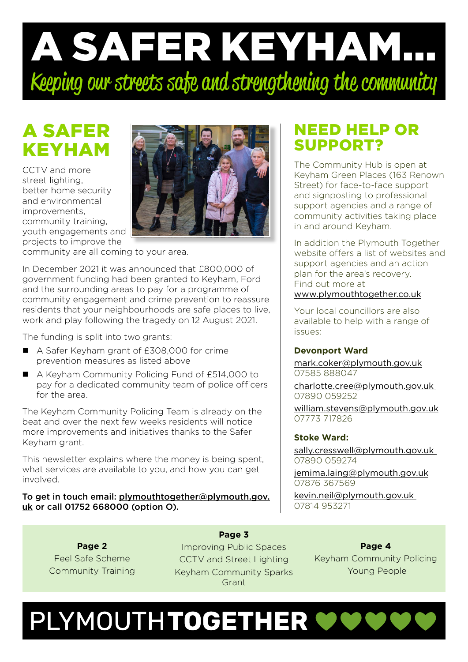# A SAFER KEYHAM... Keeping our streets safe and strengthening the community

# A SAFER KEYHAM

CCTV and more street lighting, better home security and environmental improvements, community training, youth engagements and projects to improve the



community are all coming to your area.

In December 2021 it was announced that £800,000 of government funding had been granted to Keyham, Ford and the surrounding areas to pay for a programme of community engagement and crime prevention to reassure residents that your neighbourhoods are safe places to live, work and play following the tragedy on 12 August 2021.

The funding is split into two grants:

- A Safer Keyham grant of £308,000 for crime prevention measures as listed above
- A Keyham Community Policing Fund of £514,000 to pay for a dedicated community team of police officers for the area.

The Keyham Community Policing Team is already on the beat and over the next few weeks residents will notice more improvements and initiatives thanks to the Safer Keyham grant.

This newsletter explains where the money is being spent, what services are available to you, and how you can get involved.

#### To get in touch email: [plymouthtogether@plymouth.gov.](mailto:plymouthtogether@plymouth.gov.uk) [uk](mailto:plymouthtogether@plymouth.gov.uk) or call 01752 668000 (option O).

### NEED HELP OR SUPPORT?

The Community Hub is open at Keyham Green Places (163 Renown Street) for face-to-face support and signposting to professional support agencies and a range of community activities taking place in and around Keyham.

In addition the Plymouth Together website offers a list of websites and support agencies and an action plan for the area's recovery. Find out more at [www.plymouthtogether.co.uk](http://www.plymouthtogether.co.uk)

Your local councillors are also available to help with a range of issues:

#### **Devonport Ward**

[mark.coker@plymouth.gov.uk](mailto:mark.coker%40plymouth.gov.uk?subject=) 07585 888047

[charlotte.cree@plymouth.gov.uk](mailto:charlotte.cree%40plymouth.gov.uk%20?subject=)  07890 059252

[william.stevens@plymouth.gov.uk](mailto:william.stevens%40plymouth.gov.uk?subject=) 07773 717826

#### **Stoke Ward:**

[sally.cresswell@plymouth.gov.uk](mailto:sally.cresswell%40plymouth.gov.uk%20?subject=)  07890 059274

[jemima.laing@plymouth.gov.uk](mailto:jemima.laing%40plymouth.gov.uk?subject=) 07876 367569

[kevin.neil@plymouth.gov.uk](mailto:kevin.neil%40plymouth.gov.uk%20?subject=)  07814 953271

**Page 2** Feel Safe Scheme Community Training

**Page 3** Improving Public Spaces CCTV and Street Lighting Keyham Community Sparks Grant

**Page 4** Keyham Community Policing Young People

# PLYMOUTHTOGETHER WWWW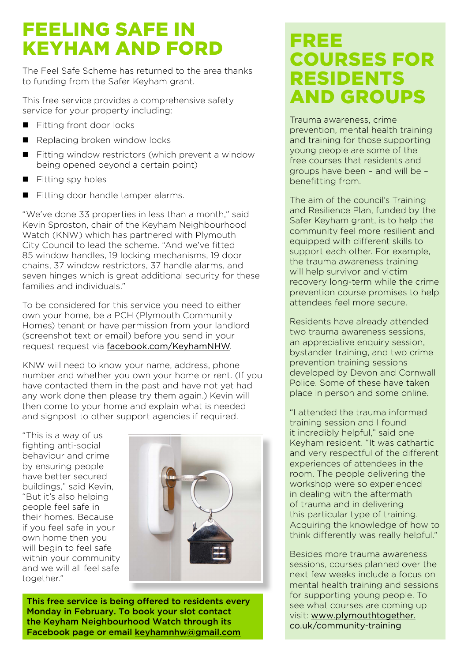# FEELING SAFE IN KEYHAM AND FORD

The Feel Safe Scheme has returned to the area thanks to funding from the Safer Keyham grant.

This free service provides a comprehensive safety service for your property including:

- Fitting front door locks
- Replacing broken window locks
- Fitting window restrictors (which prevent a window being opened beyond a certain point)
- $\blacksquare$  Fitting spy holes
- Fitting door handle tamper alarms.

"We've done 33 properties in less than a month," said Kevin Sproston, chair of the Keyham Neighbourhood Watch (KNW) which has partnered with Plymouth City Council to lead the scheme. "And we've fitted 85 window handles, 19 locking mechanisms, 19 door chains, 37 window restrictors, 37 handle alarms, and seven hinges which is great additional security for these families and individuals."

To be considered for this service you need to either own your home, be a PCH (Plymouth Community Homes) tenant or have permission from your landlord (screenshot text or email) before you send in your request request via [facebook.com/KeyhamNHW](http://facebook.com/KeyhamNHW).

KNW will need to know your name, address, phone number and whether you own your home or rent. (If you have contacted them in the past and have not yet had any work done then please try them again.) Kevin will then come to your home and explain what is needed and signpost to other support agencies if required.

"This is a way of us fighting anti-social behaviour and crime by ensuring people have better secured buildings," said Kevin, "But it's also helping people feel safe in their homes. Because if you feel safe in your own home then you will begin to feel safe within your community and we will all feel safe together."



This free service is being offered to residents every Monday in February. To book your slot contact the Keyham Neighbourhood Watch through its Facebook page or email [keyhamnhw@gmail.com](mailto:keyhamnhw@gmail.com)

## FREE COURSES FOR RESIDENTS AND GROUPS

Trauma awareness, crime prevention, mental health training and training for those supporting young people are some of the free courses that residents and groups have been – and will be – benefitting from.

The aim of the council's Training and Resilience Plan, funded by the Safer Keyham grant, is to help the community feel more resilient and equipped with different skills to support each other. For example, the trauma awareness training will help survivor and victim recovery long-term while the crime prevention course promises to help attendees feel more secure.

Residents have already attended two trauma awareness sessions, an appreciative enquiry session. bystander training, and two crime prevention training sessions developed by Devon and Cornwall Police. Some of these have taken place in person and some online.

"I attended the trauma informed training session and I found it incredibly helpful," said one Keyham resident. "It was cathartic and very respectful of the different experiences of attendees in the room. The people delivering the workshop were so experienced in dealing with the aftermath of trauma and in delivering this particular type of training. Acquiring the knowledge of how to think differently was really helpful."

Besides more trauma awareness sessions, courses planned over the next few weeks include a focus on mental health training and sessions for supporting young people. To see what courses are coming up visit: [www.plymouthtogether.](http://www.plymouthtogether.co.uk/community-training) [co.uk/community-training](http://www.plymouthtogether.co.uk/community-training)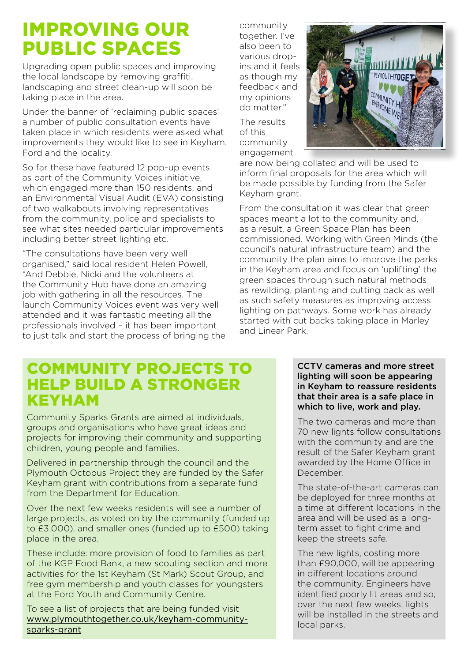## IMPROVING OUR PUBLIC SPACES

Upgrading open public spaces and improving the local landscape by removing graffiti, landscaping and street clean-up will soon be taking place in the area.

Under the banner of 'reclaiming public spaces' a number of public consultation events have taken place in which residents were asked what improvements they would like to see in Keyham, Ford and the locality.

So far these have featured 12 pop-up events as part of the Community Voices initiative, which engaged more than 150 residents, and an Environmental Visual Audit (EVA) consisting of two walkabouts involving representatives from the community, police and specialists to see what sites needed particular improvements including better street lighting etc.

"The consultations have been very well organised," said local resident Helen Powell, "And Debbie, Nicki and the volunteers at the Community Hub have done an amazing job with gathering in all the resources. The launch Community Voices event was very well attended and it was fantastic meeting all the professionals involved – it has been important to just talk and start the process of bringing the

community together. I've also been to various dropins and it feels as though my feedback and my opinions do matter."

The results of this community engagement



are now being collated and will be used to inform final proposals for the area which will be made possible by funding from the Safer Keyham grant.

From the consultation it was clear that green spaces meant a lot to the community and, as a result, a Green Space Plan has been commissioned. Working with Green Minds (the council's natural infrastructure team) and the community the plan aims to improve the parks in the Keyham area and focus on 'uplifting' the green spaces through such natural methods as rewilding, planting and cutting back as well as such safety measures as improving access lighting on pathways. Some work has already started with cut backs taking place in Marley and Linear Park.

### COMMUNITY PROJECTS TO HELP BUILD A STRONGER **KEYHAM**

Community Sparks Grants are aimed at individuals, groups and organisations who have great ideas and projects for improving their community and supporting children, young people and families.

Delivered in partnership through the council and the Plymouth Octopus Project they are funded by the Safer Keyham grant with contributions from a separate fund from the Department for Education.

Over the next few weeks residents will see a number of large projects, as voted on by the community (funded up to £3,000), and smaller ones (funded up to £500) taking place in the area.

These include: more provision of food to families as part of the KGP Food Bank, a new scouting section and more activities for the 1st Keyham (St Mark) Scout Group, and free gym membership and youth classes for youngsters at the Ford Youth and Community Centre.

To see a list of projects that are being funded visit www.plymouthtogether.co.uk/keyham-communitysparks-grant

#### CCTV cameras and more street lighting will soon be appearing in Keyham to reassure residents that their area is a safe place in which to live, work and play.

The two cameras and more than 70 new lights follow consultations with the community and are the result of the Safer Keyham grant awarded by the Home Office in December.

The state-of-the-art cameras can be deployed for three months at a time at different locations in the area and will be used as a longterm asset to fight crime and keep the streets safe.

The new lights, costing more than £90,000, will be appearing in different locations around the community. Engineers have identified poorly lit areas and so, over the next few weeks, lights will be installed in the streets and local parks.